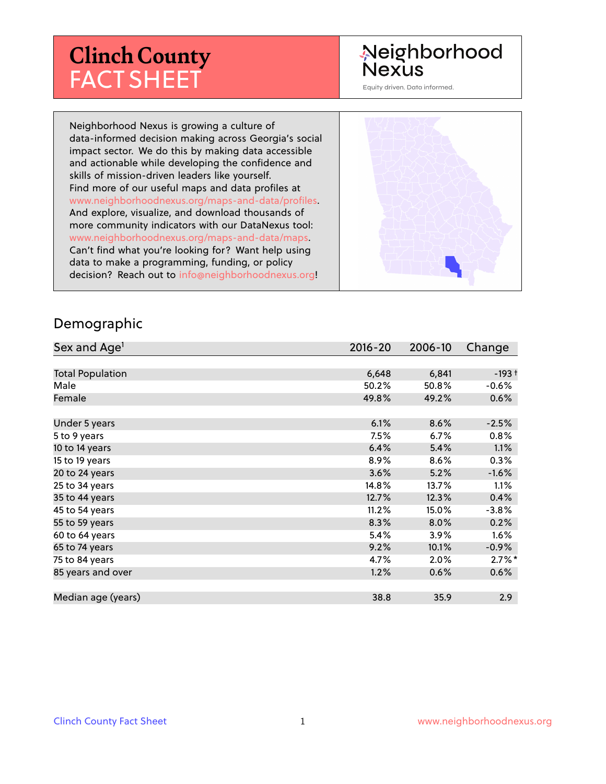# **Clinch County** FACT SHEET

# Neighborhood Nexus

Equity driven. Data informed.

Neighborhood Nexus is growing a culture of data-informed decision making across Georgia's social impact sector. We do this by making data accessible and actionable while developing the confidence and skills of mission-driven leaders like yourself. Find more of our useful maps and data profiles at www.neighborhoodnexus.org/maps-and-data/profiles. And explore, visualize, and download thousands of more community indicators with our DataNexus tool: www.neighborhoodnexus.org/maps-and-data/maps. Can't find what you're looking for? Want help using data to make a programming, funding, or policy decision? Reach out to [info@neighborhoodnexus.org!](mailto:info@neighborhoodnexus.org)



#### Demographic

| Sex and Age <sup>1</sup> | $2016 - 20$ | 2006-10 | Change               |
|--------------------------|-------------|---------|----------------------|
|                          |             |         |                      |
| <b>Total Population</b>  | 6,648       | 6,841   | $-193+$              |
| Male                     | 50.2%       | 50.8%   | $-0.6%$              |
| Female                   | 49.8%       | 49.2%   | 0.6%                 |
|                          |             |         |                      |
| Under 5 years            | 6.1%        | 8.6%    | $-2.5%$              |
| 5 to 9 years             | 7.5%        | 6.7%    | 0.8%                 |
| 10 to 14 years           | 6.4%        | 5.4%    | 1.1%                 |
| 15 to 19 years           | 8.9%        | 8.6%    | 0.3%                 |
| 20 to 24 years           | 3.6%        | 5.2%    | $-1.6%$              |
| 25 to 34 years           | 14.8%       | 13.7%   | 1.1%                 |
| 35 to 44 years           | 12.7%       | 12.3%   | 0.4%                 |
| 45 to 54 years           | 11.2%       | 15.0%   | $-3.8%$              |
| 55 to 59 years           | 8.3%        | 8.0%    | 0.2%                 |
| 60 to 64 years           | 5.4%        | 3.9%    | 1.6%                 |
| 65 to 74 years           | 9.2%        | 10.1%   | $-0.9%$              |
| 75 to 84 years           | 4.7%        | 2.0%    | $2.7\%$ <sup>*</sup> |
| 85 years and over        | 1.2%        | 0.6%    | $0.6\%$              |
|                          |             |         |                      |
| Median age (years)       | 38.8        | 35.9    | 2.9                  |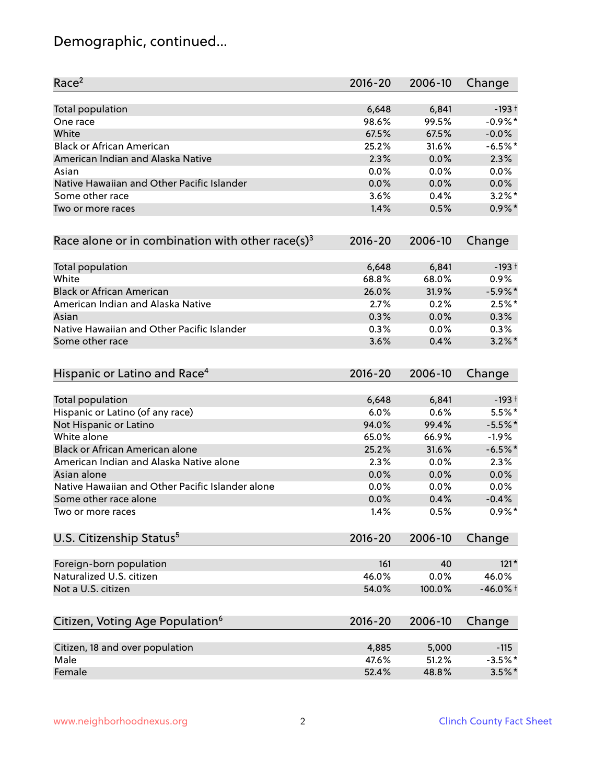# Demographic, continued...

| Race <sup>2</sup>                                   | $2016 - 20$    | 2006-10        | Change              |
|-----------------------------------------------------|----------------|----------------|---------------------|
| <b>Total population</b>                             | 6,648          | 6,841          | $-193+$             |
| One race                                            | 98.6%          | 99.5%          | $-0.9\%$ *          |
| White                                               | 67.5%          | 67.5%          | $-0.0\%$            |
| <b>Black or African American</b>                    | 25.2%          | 31.6%          | $-6.5%$ *           |
| American Indian and Alaska Native                   | 2.3%           | 0.0%           | 2.3%                |
| Asian                                               | 0.0%           | 0.0%           | 0.0%                |
| Native Hawaiian and Other Pacific Islander          | 0.0%           | 0.0%           | $0.0\%$             |
| Some other race                                     | 3.6%           | 0.4%           | $3.2\%$ *           |
| Two or more races                                   | 1.4%           | 0.5%           | $0.9\%$ *           |
| Race alone or in combination with other race(s) $3$ | $2016 - 20$    | 2006-10        | Change              |
| Total population                                    | 6,648          | 6,841          | $-193+$             |
| White                                               | 68.8%          | 68.0%          | 0.9%                |
| <b>Black or African American</b>                    | 26.0%          | 31.9%          | $-5.9\%$ *          |
| American Indian and Alaska Native                   | 2.7%           | 0.2%           | $2.5%$ *            |
| Asian                                               | 0.3%           | 0.0%           | 0.3%                |
| Native Hawaiian and Other Pacific Islander          | 0.3%           | 0.0%           | 0.3%                |
| Some other race                                     | 3.6%           | 0.4%           | $3.2\%$ *           |
| Hispanic or Latino and Race <sup>4</sup>            | $2016 - 20$    | 2006-10        | Change              |
| <b>Total population</b>                             | 6,648          | 6,841          | $-193+$             |
| Hispanic or Latino (of any race)                    | 6.0%           | 0.6%           | 5.5%*               |
| Not Hispanic or Latino                              | 94.0%          | 99.4%          | $-5.5%$ *           |
| White alone                                         | 65.0%          | 66.9%          | $-1.9%$             |
| Black or African American alone                     | 25.2%          | 31.6%          | $-6.5%$ *           |
| American Indian and Alaska Native alone             | 2.3%           | $0.0\%$        | 2.3%                |
| Asian alone                                         | 0.0%           | 0.0%           | 0.0%                |
| Native Hawaiian and Other Pacific Islander alone    | 0.0%           | 0.0%           | 0.0%                |
| Some other race alone                               | 0.0%           | 0.4%           | $-0.4%$             |
| Two or more races                                   | 1.4%           | 0.5%           | $0.9\%$ *           |
| U.S. Citizenship Status <sup>5</sup>                | $2016 - 20$    | 2006-10        | Change              |
| Foreign-born population                             | 161            | 40             | $121*$              |
| Naturalized U.S. citizen                            | 46.0%          | 0.0%           | 46.0%               |
| Not a U.S. citizen                                  | 54.0%          | 100.0%         | $-46.0%$ t          |
| Citizen, Voting Age Population <sup>6</sup>         | $2016 - 20$    | 2006-10        | Change              |
|                                                     |                |                |                     |
| Citizen, 18 and over population<br>Male             | 4,885<br>47.6% | 5,000<br>51.2% | $-115$<br>$-3.5%$ * |
| Female                                              | 52.4%          | 48.8%          | $3.5%$ *            |
|                                                     |                |                |                     |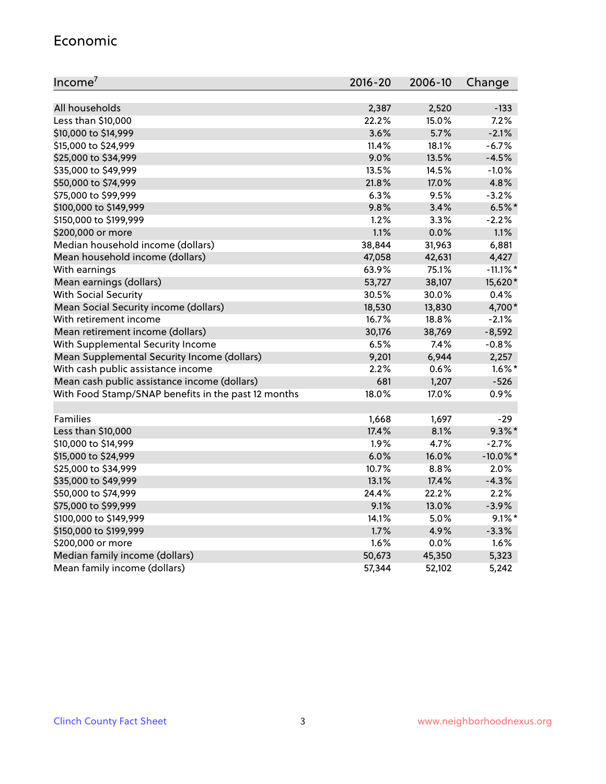#### Economic

| Income <sup>7</sup>                                 | $2016 - 20$ | 2006-10 | Change      |
|-----------------------------------------------------|-------------|---------|-------------|
|                                                     |             |         |             |
| All households                                      | 2,387       | 2,520   | $-133$      |
| Less than \$10,000                                  | 22.2%       | 15.0%   | 7.2%        |
| \$10,000 to \$14,999                                | 3.6%        | 5.7%    | $-2.1%$     |
| \$15,000 to \$24,999                                | 11.4%       | 18.1%   | $-6.7%$     |
| \$25,000 to \$34,999                                | 9.0%        | 13.5%   | $-4.5%$     |
| \$35,000 to \$49,999                                | 13.5%       | 14.5%   | $-1.0%$     |
| \$50,000 to \$74,999                                | 21.8%       | 17.0%   | 4.8%        |
| \$75,000 to \$99,999                                | 6.3%        | 9.5%    | $-3.2%$     |
| \$100,000 to \$149,999                              | 9.8%        | 3.4%    | $6.5%$ *    |
| \$150,000 to \$199,999                              | 1.2%        | 3.3%    | $-2.2%$     |
| \$200,000 or more                                   | 1.1%        | 0.0%    | 1.1%        |
| Median household income (dollars)                   | 38,844      | 31,963  | 6,881       |
| Mean household income (dollars)                     | 47,058      | 42,631  | 4,427       |
| With earnings                                       | 63.9%       | 75.1%   | $-11.1\%$ * |
| Mean earnings (dollars)                             | 53,727      | 38,107  | 15,620*     |
| <b>With Social Security</b>                         | 30.5%       | 30.0%   | 0.4%        |
| Mean Social Security income (dollars)               | 18,530      | 13,830  | 4,700*      |
| With retirement income                              | 16.7%       | 18.8%   | $-2.1%$     |
| Mean retirement income (dollars)                    | 30,176      | 38,769  | $-8,592$    |
| With Supplemental Security Income                   | 6.5%        | $7.4\%$ | $-0.8%$     |
| Mean Supplemental Security Income (dollars)         | 9,201       | 6,944   | 2,257       |
| With cash public assistance income                  | 2.2%        | 0.6%    | $1.6\%$ *   |
| Mean cash public assistance income (dollars)        | 681         | 1,207   | $-526$      |
| With Food Stamp/SNAP benefits in the past 12 months | 18.0%       | 17.0%   | 0.9%        |
|                                                     |             |         |             |
| Families                                            | 1,668       | 1,697   | $-29$       |
| Less than \$10,000                                  | 17.4%       | 8.1%    | $9.3\%$ *   |
| \$10,000 to \$14,999                                | 1.9%        | 4.7%    | $-2.7%$     |
| \$15,000 to \$24,999                                | 6.0%        | 16.0%   | $-10.0\%$ * |
| \$25,000 to \$34,999                                | 10.7%       | 8.8%    | 2.0%        |
| \$35,000 to \$49,999                                | 13.1%       | 17.4%   | $-4.3%$     |
| \$50,000 to \$74,999                                | 24.4%       | 22.2%   | 2.2%        |
| \$75,000 to \$99,999                                | 9.1%        | 13.0%   | $-3.9%$     |
| \$100,000 to \$149,999                              | 14.1%       | $5.0\%$ | $9.1\%$ *   |
| \$150,000 to \$199,999                              | 1.7%        | 4.9%    | $-3.3%$     |
| \$200,000 or more                                   | 1.6%        | 0.0%    | 1.6%        |
| Median family income (dollars)                      | 50,673      | 45,350  | 5,323       |
| Mean family income (dollars)                        | 57,344      | 52,102  | 5,242       |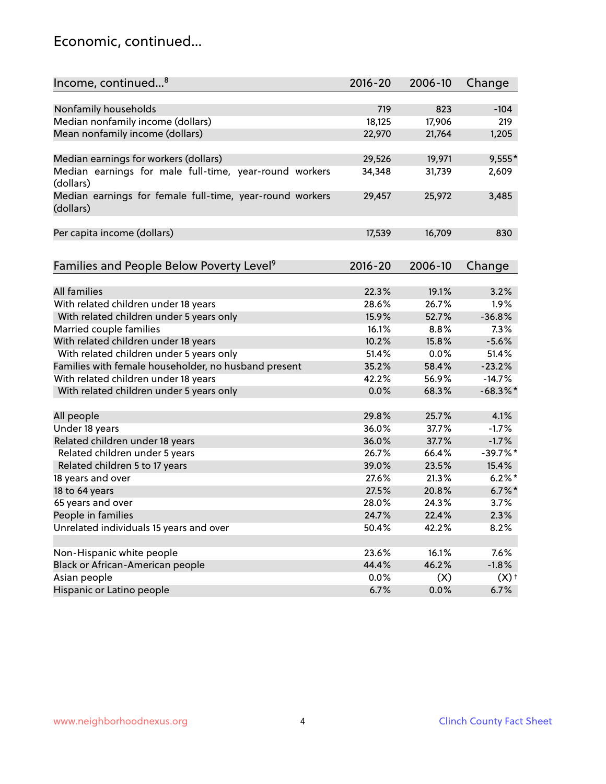### Economic, continued...

| Income, continued <sup>8</sup>                                        | $2016 - 20$ | 2006-10 | Change      |
|-----------------------------------------------------------------------|-------------|---------|-------------|
|                                                                       |             |         |             |
| Nonfamily households                                                  | 719         | 823     | $-104$      |
| Median nonfamily income (dollars)                                     | 18,125      | 17,906  | 219         |
| Mean nonfamily income (dollars)                                       | 22,970      | 21,764  | 1,205       |
| Median earnings for workers (dollars)                                 | 29,526      | 19,971  | $9,555*$    |
| Median earnings for male full-time, year-round workers                | 34,348      | 31,739  | 2,609       |
| (dollars)<br>Median earnings for female full-time, year-round workers |             | 25,972  | 3,485       |
| (dollars)                                                             | 29,457      |         |             |
| Per capita income (dollars)                                           | 17,539      | 16,709  | 830         |
|                                                                       |             |         |             |
| Families and People Below Poverty Level <sup>9</sup>                  | 2016-20     | 2006-10 | Change      |
|                                                                       |             |         |             |
| <b>All families</b>                                                   | 22.3%       | 19.1%   | 3.2%        |
| With related children under 18 years                                  | 28.6%       | 26.7%   | 1.9%        |
| With related children under 5 years only                              | 15.9%       | 52.7%   | $-36.8%$    |
| Married couple families                                               | 16.1%       | 8.8%    | 7.3%        |
| With related children under 18 years                                  | 10.2%       | 15.8%   | $-5.6%$     |
| With related children under 5 years only                              | 51.4%       | 0.0%    | 51.4%       |
| Families with female householder, no husband present                  | 35.2%       | 58.4%   | $-23.2%$    |
| With related children under 18 years                                  | 42.2%       | 56.9%   | $-14.7%$    |
| With related children under 5 years only                              | 0.0%        | 68.3%   | $-68.3\%$ * |
| All people                                                            | 29.8%       | 25.7%   | 4.1%        |
| Under 18 years                                                        | 36.0%       | 37.7%   | $-1.7%$     |
| Related children under 18 years                                       | 36.0%       | 37.7%   | $-1.7%$     |
| Related children under 5 years                                        | 26.7%       | 66.4%   | $-39.7%$ *  |
| Related children 5 to 17 years                                        | 39.0%       | 23.5%   | 15.4%       |
| 18 years and over                                                     | 27.6%       | 21.3%   | $6.2\%$ *   |
| 18 to 64 years                                                        | 27.5%       | 20.8%   | $6.7\%$ *   |
| 65 years and over                                                     | 28.0%       | 24.3%   | 3.7%        |
| People in families                                                    | 24.7%       | 22.4%   | 2.3%        |
| Unrelated individuals 15 years and over                               | 50.4%       | 42.2%   | 8.2%        |
|                                                                       |             |         |             |
| Non-Hispanic white people                                             | 23.6%       | 16.1%   | 7.6%        |
| Black or African-American people                                      | 44.4%       | 46.2%   | $-1.8%$     |
| Asian people                                                          | 0.0%        | (X)     | (X)         |
| Hispanic or Latino people                                             | 6.7%        | 0.0%    | 6.7%        |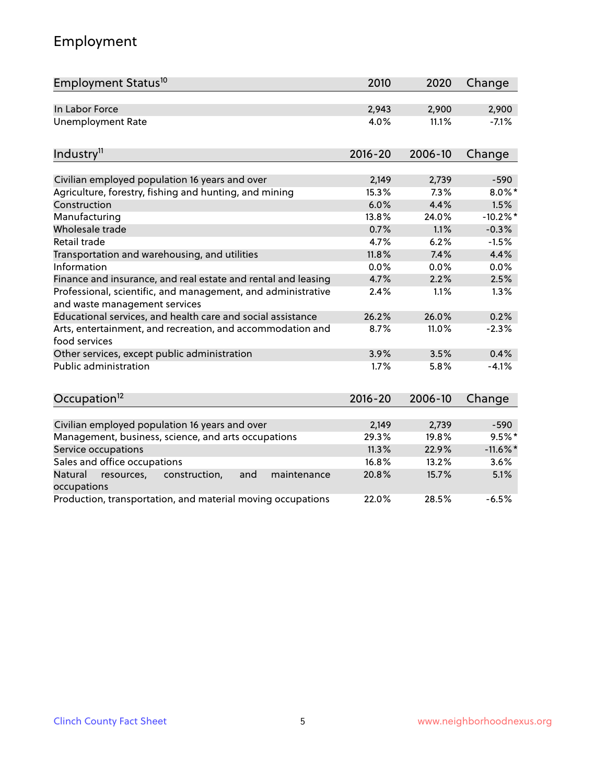# Employment

| Employment Status <sup>10</sup>                                                               | 2010        | 2020    | Change      |
|-----------------------------------------------------------------------------------------------|-------------|---------|-------------|
| In Labor Force                                                                                | 2,943       | 2,900   | 2,900       |
| <b>Unemployment Rate</b>                                                                      | 4.0%        | 11.1%   | $-7.1%$     |
| Industry <sup>11</sup>                                                                        | $2016 - 20$ | 2006-10 | Change      |
|                                                                                               |             |         |             |
| Civilian employed population 16 years and over                                                | 2,149       | 2,739   | $-590$      |
| Agriculture, forestry, fishing and hunting, and mining                                        | 15.3%       | 7.3%    | $8.0\%$ *   |
| Construction                                                                                  | 6.0%        | 4.4%    | 1.5%        |
| Manufacturing                                                                                 | 13.8%       | 24.0%   | $-10.2%$    |
| Wholesale trade                                                                               | 0.7%        | 1.1%    | $-0.3%$     |
| Retail trade                                                                                  | 4.7%        | 6.2%    | $-1.5%$     |
| Transportation and warehousing, and utilities                                                 | 11.8%       | 7.4%    | 4.4%        |
| Information                                                                                   | 0.0%        | 0.0%    | 0.0%        |
| Finance and insurance, and real estate and rental and leasing                                 | 4.7%        | 2.2%    | 2.5%        |
| Professional, scientific, and management, and administrative<br>and waste management services | 2.4%        | 1.1%    | 1.3%        |
| Educational services, and health care and social assistance                                   | 26.2%       | 26.0%   | 0.2%        |
| Arts, entertainment, and recreation, and accommodation and<br>food services                   | 8.7%        | 11.0%   | $-2.3%$     |
| Other services, except public administration                                                  | 3.9%        | 3.5%    | 0.4%        |
| <b>Public administration</b>                                                                  | 1.7%        | 5.8%    | $-4.1%$     |
| Occupation <sup>12</sup>                                                                      | $2016 - 20$ | 2006-10 | Change      |
|                                                                                               |             |         |             |
| Civilian employed population 16 years and over                                                | 2,149       | 2,739   | $-590$      |
| Management, business, science, and arts occupations                                           | 29.3%       | 19.8%   | $9.5%$ *    |
| Service occupations                                                                           | 11.3%       | 22.9%   | $-11.6\%$ * |
| Sales and office occupations                                                                  | 16.8%       | 13.2%   | 3.6%        |
| Natural<br>resources,<br>construction,<br>and<br>maintenance<br>occupations                   | 20.8%       | 15.7%   | 5.1%        |
| Production, transportation, and material moving occupations                                   | 22.0%       | 28.5%   | $-6.5%$     |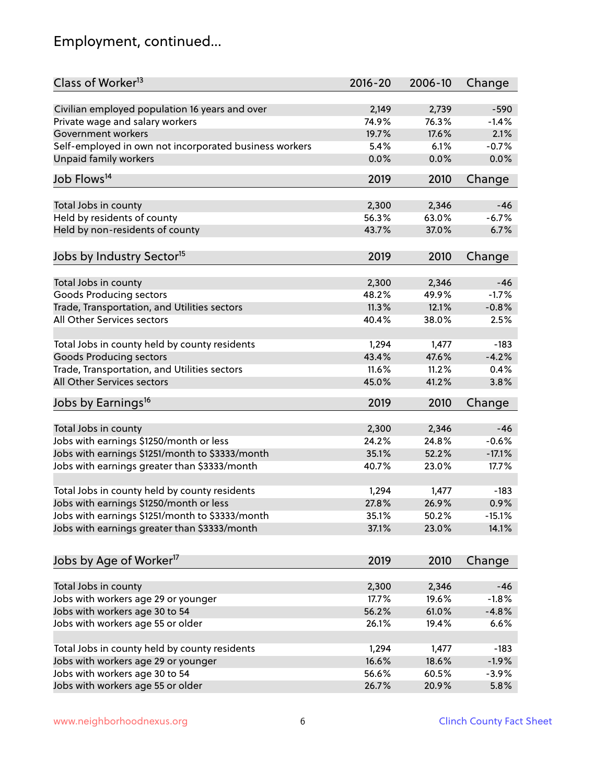# Employment, continued...

| Class of Worker <sup>13</sup>                          | $2016 - 20$ | 2006-10 | Change    |
|--------------------------------------------------------|-------------|---------|-----------|
| Civilian employed population 16 years and over         | 2,149       | 2,739   | $-590$    |
| Private wage and salary workers                        | 74.9%       | 76.3%   | $-1.4%$   |
| Government workers                                     | 19.7%       | 17.6%   | 2.1%      |
| Self-employed in own not incorporated business workers | 5.4%        | 6.1%    | $-0.7%$   |
| Unpaid family workers                                  | 0.0%        | 0.0%    | 0.0%      |
|                                                        |             |         |           |
| Job Flows <sup>14</sup>                                | 2019        | 2010    | Change    |
|                                                        | 2,300       | 2,346   | $-46$     |
| Total Jobs in county                                   | 56.3%       | 63.0%   | $-6.7%$   |
| Held by residents of county                            |             |         |           |
| Held by non-residents of county                        | 43.7%       | 37.0%   | 6.7%      |
| Jobs by Industry Sector <sup>15</sup>                  | 2019        | 2010    | Change    |
|                                                        |             |         |           |
| Total Jobs in county                                   | 2,300       | 2,346   | $-46$     |
| Goods Producing sectors                                | 48.2%       | 49.9%   | $-1.7%$   |
| Trade, Transportation, and Utilities sectors           | 11.3%       | 12.1%   | $-0.8%$   |
| All Other Services sectors                             | 40.4%       | 38.0%   | 2.5%      |
| Total Jobs in county held by county residents          | 1,294       | 1,477   | $-183$    |
| <b>Goods Producing sectors</b>                         | 43.4%       | 47.6%   | $-4.2%$   |
| Trade, Transportation, and Utilities sectors           | 11.6%       | 11.2%   | 0.4%      |
| All Other Services sectors                             | 45.0%       | 41.2%   | 3.8%      |
| Jobs by Earnings <sup>16</sup>                         | 2019        | 2010    | Change    |
|                                                        |             |         |           |
| Total Jobs in county                                   | 2,300       | 2,346   | $-46$     |
| Jobs with earnings \$1250/month or less                | 24.2%       | 24.8%   | $-0.6%$   |
| Jobs with earnings \$1251/month to \$3333/month        | 35.1%       | 52.2%   | $-17.1%$  |
| Jobs with earnings greater than \$3333/month           | 40.7%       | 23.0%   | 17.7%     |
|                                                        |             |         |           |
| Total Jobs in county held by county residents          | 1,294       | 1,477   | $-183$    |
| Jobs with earnings \$1250/month or less                | 27.8%       | 26.9%   | 0.9%      |
| Jobs with earnings \$1251/month to \$3333/month        | 35.1%       | 50.2%   | $-15.1\%$ |
| Jobs with earnings greater than \$3333/month           | 37.1%       | 23.0%   | 14.1%     |
|                                                        |             |         |           |
| Jobs by Age of Worker <sup>17</sup>                    | 2019        | 2010    | Change    |
|                                                        |             |         |           |
| Total Jobs in county                                   | 2,300       | 2,346   | $-46$     |
| Jobs with workers age 29 or younger                    | 17.7%       | 19.6%   | $-1.8%$   |
| Jobs with workers age 30 to 54                         | 56.2%       | 61.0%   | $-4.8%$   |
| Jobs with workers age 55 or older                      | 26.1%       | 19.4%   | 6.6%      |
| Total Jobs in county held by county residents          | 1,294       | 1,477   | $-183$    |
| Jobs with workers age 29 or younger                    | 16.6%       | 18.6%   | $-1.9%$   |
| Jobs with workers age 30 to 54                         | 56.6%       | 60.5%   | $-3.9%$   |
| Jobs with workers age 55 or older                      | 26.7%       | 20.9%   | 5.8%      |
|                                                        |             |         |           |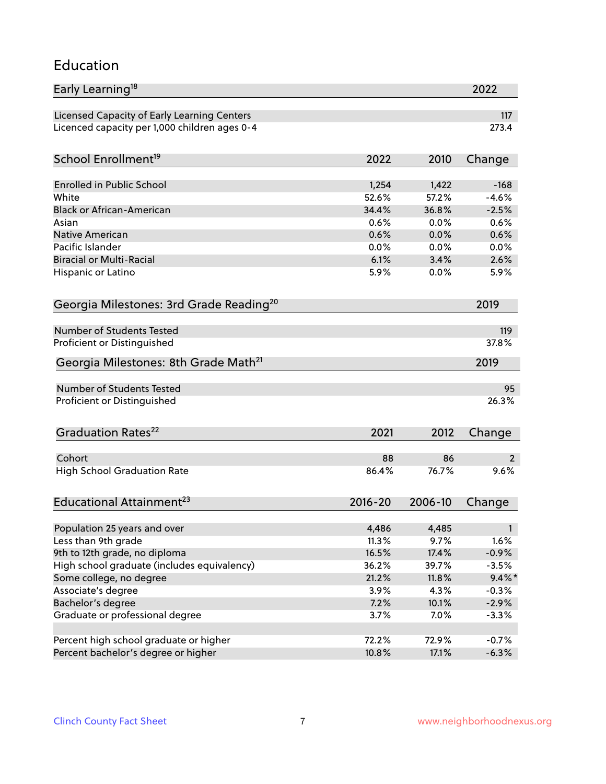### Education

| Early Learning <sup>18</sup>                        |              |              | 2022                  |
|-----------------------------------------------------|--------------|--------------|-----------------------|
| Licensed Capacity of Early Learning Centers         |              |              | 117                   |
| Licenced capacity per 1,000 children ages 0-4       |              |              | 273.4                 |
| School Enrollment <sup>19</sup>                     | 2022         | 2010         | Change                |
|                                                     |              |              |                       |
| <b>Enrolled in Public School</b>                    | 1,254        | 1,422        | $-168$                |
| White                                               | 52.6%        | 57.2%        | $-4.6%$               |
| <b>Black or African-American</b>                    | 34.4%        | 36.8%        | $-2.5%$               |
| Asian<br><b>Native American</b>                     | 0.6%<br>0.6% | 0.0%         | 0.6%<br>0.6%          |
| Pacific Islander                                    |              | 0.0%         |                       |
| <b>Biracial or Multi-Racial</b>                     | 0.0%<br>6.1% | 0.0%<br>3.4% | 0.0%<br>2.6%          |
|                                                     |              |              |                       |
| Hispanic or Latino                                  | 5.9%         | 0.0%         | 5.9%                  |
| Georgia Milestones: 3rd Grade Reading <sup>20</sup> |              |              | 2019                  |
| Number of Students Tested                           |              |              | 119                   |
| Proficient or Distinguished                         |              |              | 37.8%                 |
| Georgia Milestones: 8th Grade Math <sup>21</sup>    |              |              | 2019                  |
| <b>Number of Students Tested</b>                    |              |              | 95                    |
| Proficient or Distinguished                         |              |              | 26.3%                 |
| Graduation Rates <sup>22</sup>                      | 2021         | 2012         | Change                |
| Cohort                                              | 88           | 86           | $\mathbf{2}^{\prime}$ |
| <b>High School Graduation Rate</b>                  | 86.4%        | 76.7%        | 9.6%                  |
| Educational Attainment <sup>23</sup>                | 2016-20      | 2006-10      | Change                |
|                                                     |              |              |                       |
| Population 25 years and over                        | 4,486        | 4,485        | 1                     |
| Less than 9th grade                                 | 11.3%        | 9.7%         | 1.6%                  |
| 9th to 12th grade, no diploma                       | 16.5%        | 17.4%        | $-0.9%$               |
| High school graduate (includes equivalency)         | 36.2%        | 39.7%        | $-3.5%$               |
| Some college, no degree                             | 21.2%        | 11.8%        | $9.4\%$ *             |
| Associate's degree                                  | 3.9%         | 4.3%         | $-0.3%$               |
| Bachelor's degree                                   | 7.2%         | 10.1%        | $-2.9%$               |
| Graduate or professional degree                     | 3.7%         | 7.0%         | $-3.3%$               |
| Percent high school graduate or higher              | 72.2%        | 72.9%        | $-0.7%$               |
| Percent bachelor's degree or higher                 | 10.8%        | 17.1%        | $-6.3%$               |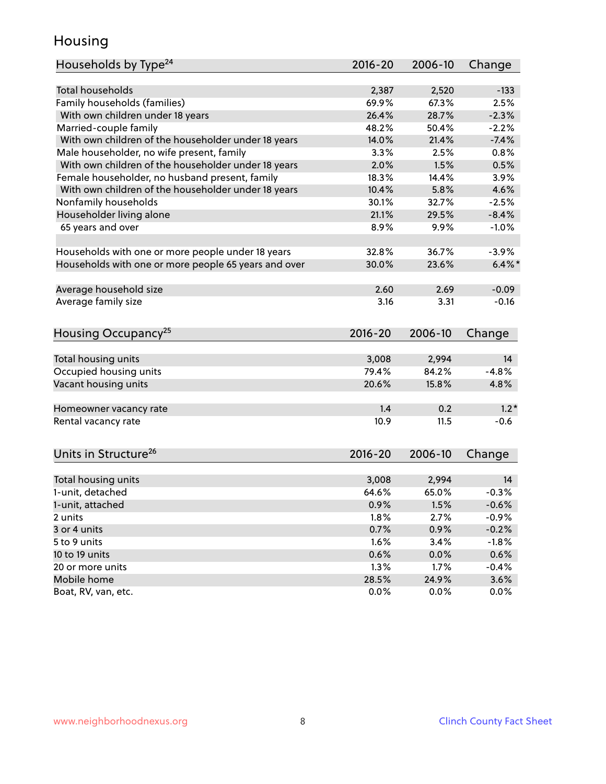### Housing

| <b>Total households</b><br>$-133$<br>2,387<br>2,520<br>Family households (families)<br>2.5%<br>69.9%<br>67.3%<br>With own children under 18 years<br>26.4%<br>$-2.3%$<br>28.7%<br>Married-couple family<br>48.2%<br>50.4%<br>$-2.2%$<br>With own children of the householder under 18 years<br>14.0%<br>21.4%<br>$-7.4%$<br>Male householder, no wife present, family<br>3.3%<br>2.5%<br>0.8%<br>With own children of the householder under 18 years<br>2.0%<br>1.5%<br>0.5%<br>Female householder, no husband present, family<br>18.3%<br>3.9%<br>14.4%<br>With own children of the householder under 18 years<br>10.4%<br>5.8%<br>4.6%<br>Nonfamily households<br>30.1%<br>32.7%<br>$-2.5%$<br>Householder living alone<br>$-8.4%$<br>21.1%<br>29.5%<br>65 years and over<br>8.9%<br>$-1.0%$<br>9.9%<br>32.8%<br>36.7%<br>Households with one or more people under 18 years<br>$-3.9%$<br>Households with one or more people 65 years and over<br>23.6%<br>30.0%<br>$6.4\%$<br>Average household size<br>2.60<br>2.69<br>$-0.09$<br>Average family size<br>3.16<br>3.31<br>$-0.16$<br>Housing Occupancy <sup>25</sup><br>$2016 - 20$<br>2006-10<br>Change<br>Total housing units<br>3,008<br>2,994<br>14<br>Occupied housing units<br>79.4%<br>84.2%<br>$-4.8%$<br>Vacant housing units<br>20.6%<br>15.8%<br>4.8%<br>$1.2*$<br>1.4<br>0.2<br>Homeowner vacancy rate<br>10.9<br>11.5<br>Rental vacancy rate<br>$-0.6$<br>Units in Structure <sup>26</sup><br>2016-20<br>2006-10<br>Change<br>Total housing units<br>3,008<br>2,994<br>14<br>1-unit, detached<br>64.6%<br>65.0%<br>$-0.3%$<br>1-unit, attached<br>0.9%<br>1.5%<br>$-0.6%$<br>1.8%<br>2.7%<br>$-0.9%$<br>2 units<br>3 or 4 units<br>0.7%<br>0.9%<br>$-0.2%$<br>1.6%<br>3.4%<br>$-1.8%$<br>5 to 9 units<br>0.6%<br>0.0%<br>0.6%<br>10 to 19 units<br>1.3%<br>20 or more units<br>1.7%<br>$-0.4%$<br>Mobile home<br>28.5%<br>24.9%<br>3.6% | Households by Type <sup>24</sup> | 2016-20 | 2006-10 | Change  |
|---------------------------------------------------------------------------------------------------------------------------------------------------------------------------------------------------------------------------------------------------------------------------------------------------------------------------------------------------------------------------------------------------------------------------------------------------------------------------------------------------------------------------------------------------------------------------------------------------------------------------------------------------------------------------------------------------------------------------------------------------------------------------------------------------------------------------------------------------------------------------------------------------------------------------------------------------------------------------------------------------------------------------------------------------------------------------------------------------------------------------------------------------------------------------------------------------------------------------------------------------------------------------------------------------------------------------------------------------------------------------------------------------------------------------------------------------------------------------------------------------------------------------------------------------------------------------------------------------------------------------------------------------------------------------------------------------------------------------------------------------------------------------------------------------------------------------------------------------------------------------------------------------------|----------------------------------|---------|---------|---------|
|                                                                                                                                                                                                                                                                                                                                                                                                                                                                                                                                                                                                                                                                                                                                                                                                                                                                                                                                                                                                                                                                                                                                                                                                                                                                                                                                                                                                                                                                                                                                                                                                                                                                                                                                                                                                                                                                                                         |                                  |         |         |         |
|                                                                                                                                                                                                                                                                                                                                                                                                                                                                                                                                                                                                                                                                                                                                                                                                                                                                                                                                                                                                                                                                                                                                                                                                                                                                                                                                                                                                                                                                                                                                                                                                                                                                                                                                                                                                                                                                                                         |                                  |         |         |         |
|                                                                                                                                                                                                                                                                                                                                                                                                                                                                                                                                                                                                                                                                                                                                                                                                                                                                                                                                                                                                                                                                                                                                                                                                                                                                                                                                                                                                                                                                                                                                                                                                                                                                                                                                                                                                                                                                                                         |                                  |         |         |         |
|                                                                                                                                                                                                                                                                                                                                                                                                                                                                                                                                                                                                                                                                                                                                                                                                                                                                                                                                                                                                                                                                                                                                                                                                                                                                                                                                                                                                                                                                                                                                                                                                                                                                                                                                                                                                                                                                                                         |                                  |         |         |         |
|                                                                                                                                                                                                                                                                                                                                                                                                                                                                                                                                                                                                                                                                                                                                                                                                                                                                                                                                                                                                                                                                                                                                                                                                                                                                                                                                                                                                                                                                                                                                                                                                                                                                                                                                                                                                                                                                                                         |                                  |         |         |         |
|                                                                                                                                                                                                                                                                                                                                                                                                                                                                                                                                                                                                                                                                                                                                                                                                                                                                                                                                                                                                                                                                                                                                                                                                                                                                                                                                                                                                                                                                                                                                                                                                                                                                                                                                                                                                                                                                                                         |                                  |         |         |         |
|                                                                                                                                                                                                                                                                                                                                                                                                                                                                                                                                                                                                                                                                                                                                                                                                                                                                                                                                                                                                                                                                                                                                                                                                                                                                                                                                                                                                                                                                                                                                                                                                                                                                                                                                                                                                                                                                                                         |                                  |         |         |         |
|                                                                                                                                                                                                                                                                                                                                                                                                                                                                                                                                                                                                                                                                                                                                                                                                                                                                                                                                                                                                                                                                                                                                                                                                                                                                                                                                                                                                                                                                                                                                                                                                                                                                                                                                                                                                                                                                                                         |                                  |         |         |         |
|                                                                                                                                                                                                                                                                                                                                                                                                                                                                                                                                                                                                                                                                                                                                                                                                                                                                                                                                                                                                                                                                                                                                                                                                                                                                                                                                                                                                                                                                                                                                                                                                                                                                                                                                                                                                                                                                                                         |                                  |         |         |         |
|                                                                                                                                                                                                                                                                                                                                                                                                                                                                                                                                                                                                                                                                                                                                                                                                                                                                                                                                                                                                                                                                                                                                                                                                                                                                                                                                                                                                                                                                                                                                                                                                                                                                                                                                                                                                                                                                                                         |                                  |         |         |         |
|                                                                                                                                                                                                                                                                                                                                                                                                                                                                                                                                                                                                                                                                                                                                                                                                                                                                                                                                                                                                                                                                                                                                                                                                                                                                                                                                                                                                                                                                                                                                                                                                                                                                                                                                                                                                                                                                                                         |                                  |         |         |         |
|                                                                                                                                                                                                                                                                                                                                                                                                                                                                                                                                                                                                                                                                                                                                                                                                                                                                                                                                                                                                                                                                                                                                                                                                                                                                                                                                                                                                                                                                                                                                                                                                                                                                                                                                                                                                                                                                                                         |                                  |         |         |         |
|                                                                                                                                                                                                                                                                                                                                                                                                                                                                                                                                                                                                                                                                                                                                                                                                                                                                                                                                                                                                                                                                                                                                                                                                                                                                                                                                                                                                                                                                                                                                                                                                                                                                                                                                                                                                                                                                                                         |                                  |         |         |         |
|                                                                                                                                                                                                                                                                                                                                                                                                                                                                                                                                                                                                                                                                                                                                                                                                                                                                                                                                                                                                                                                                                                                                                                                                                                                                                                                                                                                                                                                                                                                                                                                                                                                                                                                                                                                                                                                                                                         |                                  |         |         |         |
|                                                                                                                                                                                                                                                                                                                                                                                                                                                                                                                                                                                                                                                                                                                                                                                                                                                                                                                                                                                                                                                                                                                                                                                                                                                                                                                                                                                                                                                                                                                                                                                                                                                                                                                                                                                                                                                                                                         |                                  |         |         |         |
|                                                                                                                                                                                                                                                                                                                                                                                                                                                                                                                                                                                                                                                                                                                                                                                                                                                                                                                                                                                                                                                                                                                                                                                                                                                                                                                                                                                                                                                                                                                                                                                                                                                                                                                                                                                                                                                                                                         |                                  |         |         |         |
|                                                                                                                                                                                                                                                                                                                                                                                                                                                                                                                                                                                                                                                                                                                                                                                                                                                                                                                                                                                                                                                                                                                                                                                                                                                                                                                                                                                                                                                                                                                                                                                                                                                                                                                                                                                                                                                                                                         |                                  |         |         |         |
|                                                                                                                                                                                                                                                                                                                                                                                                                                                                                                                                                                                                                                                                                                                                                                                                                                                                                                                                                                                                                                                                                                                                                                                                                                                                                                                                                                                                                                                                                                                                                                                                                                                                                                                                                                                                                                                                                                         |                                  |         |         |         |
|                                                                                                                                                                                                                                                                                                                                                                                                                                                                                                                                                                                                                                                                                                                                                                                                                                                                                                                                                                                                                                                                                                                                                                                                                                                                                                                                                                                                                                                                                                                                                                                                                                                                                                                                                                                                                                                                                                         |                                  |         |         |         |
|                                                                                                                                                                                                                                                                                                                                                                                                                                                                                                                                                                                                                                                                                                                                                                                                                                                                                                                                                                                                                                                                                                                                                                                                                                                                                                                                                                                                                                                                                                                                                                                                                                                                                                                                                                                                                                                                                                         |                                  |         |         |         |
|                                                                                                                                                                                                                                                                                                                                                                                                                                                                                                                                                                                                                                                                                                                                                                                                                                                                                                                                                                                                                                                                                                                                                                                                                                                                                                                                                                                                                                                                                                                                                                                                                                                                                                                                                                                                                                                                                                         |                                  |         |         |         |
|                                                                                                                                                                                                                                                                                                                                                                                                                                                                                                                                                                                                                                                                                                                                                                                                                                                                                                                                                                                                                                                                                                                                                                                                                                                                                                                                                                                                                                                                                                                                                                                                                                                                                                                                                                                                                                                                                                         |                                  |         |         |         |
|                                                                                                                                                                                                                                                                                                                                                                                                                                                                                                                                                                                                                                                                                                                                                                                                                                                                                                                                                                                                                                                                                                                                                                                                                                                                                                                                                                                                                                                                                                                                                                                                                                                                                                                                                                                                                                                                                                         |                                  |         |         |         |
|                                                                                                                                                                                                                                                                                                                                                                                                                                                                                                                                                                                                                                                                                                                                                                                                                                                                                                                                                                                                                                                                                                                                                                                                                                                                                                                                                                                                                                                                                                                                                                                                                                                                                                                                                                                                                                                                                                         |                                  |         |         |         |
|                                                                                                                                                                                                                                                                                                                                                                                                                                                                                                                                                                                                                                                                                                                                                                                                                                                                                                                                                                                                                                                                                                                                                                                                                                                                                                                                                                                                                                                                                                                                                                                                                                                                                                                                                                                                                                                                                                         |                                  |         |         |         |
|                                                                                                                                                                                                                                                                                                                                                                                                                                                                                                                                                                                                                                                                                                                                                                                                                                                                                                                                                                                                                                                                                                                                                                                                                                                                                                                                                                                                                                                                                                                                                                                                                                                                                                                                                                                                                                                                                                         |                                  |         |         |         |
|                                                                                                                                                                                                                                                                                                                                                                                                                                                                                                                                                                                                                                                                                                                                                                                                                                                                                                                                                                                                                                                                                                                                                                                                                                                                                                                                                                                                                                                                                                                                                                                                                                                                                                                                                                                                                                                                                                         |                                  |         |         |         |
|                                                                                                                                                                                                                                                                                                                                                                                                                                                                                                                                                                                                                                                                                                                                                                                                                                                                                                                                                                                                                                                                                                                                                                                                                                                                                                                                                                                                                                                                                                                                                                                                                                                                                                                                                                                                                                                                                                         |                                  |         |         |         |
|                                                                                                                                                                                                                                                                                                                                                                                                                                                                                                                                                                                                                                                                                                                                                                                                                                                                                                                                                                                                                                                                                                                                                                                                                                                                                                                                                                                                                                                                                                                                                                                                                                                                                                                                                                                                                                                                                                         |                                  |         |         |         |
|                                                                                                                                                                                                                                                                                                                                                                                                                                                                                                                                                                                                                                                                                                                                                                                                                                                                                                                                                                                                                                                                                                                                                                                                                                                                                                                                                                                                                                                                                                                                                                                                                                                                                                                                                                                                                                                                                                         |                                  |         |         |         |
|                                                                                                                                                                                                                                                                                                                                                                                                                                                                                                                                                                                                                                                                                                                                                                                                                                                                                                                                                                                                                                                                                                                                                                                                                                                                                                                                                                                                                                                                                                                                                                                                                                                                                                                                                                                                                                                                                                         |                                  |         |         |         |
|                                                                                                                                                                                                                                                                                                                                                                                                                                                                                                                                                                                                                                                                                                                                                                                                                                                                                                                                                                                                                                                                                                                                                                                                                                                                                                                                                                                                                                                                                                                                                                                                                                                                                                                                                                                                                                                                                                         |                                  |         |         |         |
|                                                                                                                                                                                                                                                                                                                                                                                                                                                                                                                                                                                                                                                                                                                                                                                                                                                                                                                                                                                                                                                                                                                                                                                                                                                                                                                                                                                                                                                                                                                                                                                                                                                                                                                                                                                                                                                                                                         |                                  |         |         |         |
|                                                                                                                                                                                                                                                                                                                                                                                                                                                                                                                                                                                                                                                                                                                                                                                                                                                                                                                                                                                                                                                                                                                                                                                                                                                                                                                                                                                                                                                                                                                                                                                                                                                                                                                                                                                                                                                                                                         |                                  |         |         |         |
|                                                                                                                                                                                                                                                                                                                                                                                                                                                                                                                                                                                                                                                                                                                                                                                                                                                                                                                                                                                                                                                                                                                                                                                                                                                                                                                                                                                                                                                                                                                                                                                                                                                                                                                                                                                                                                                                                                         |                                  |         |         |         |
|                                                                                                                                                                                                                                                                                                                                                                                                                                                                                                                                                                                                                                                                                                                                                                                                                                                                                                                                                                                                                                                                                                                                                                                                                                                                                                                                                                                                                                                                                                                                                                                                                                                                                                                                                                                                                                                                                                         |                                  |         |         |         |
|                                                                                                                                                                                                                                                                                                                                                                                                                                                                                                                                                                                                                                                                                                                                                                                                                                                                                                                                                                                                                                                                                                                                                                                                                                                                                                                                                                                                                                                                                                                                                                                                                                                                                                                                                                                                                                                                                                         | Boat, RV, van, etc.              | 0.0%    | $0.0\%$ | $0.0\%$ |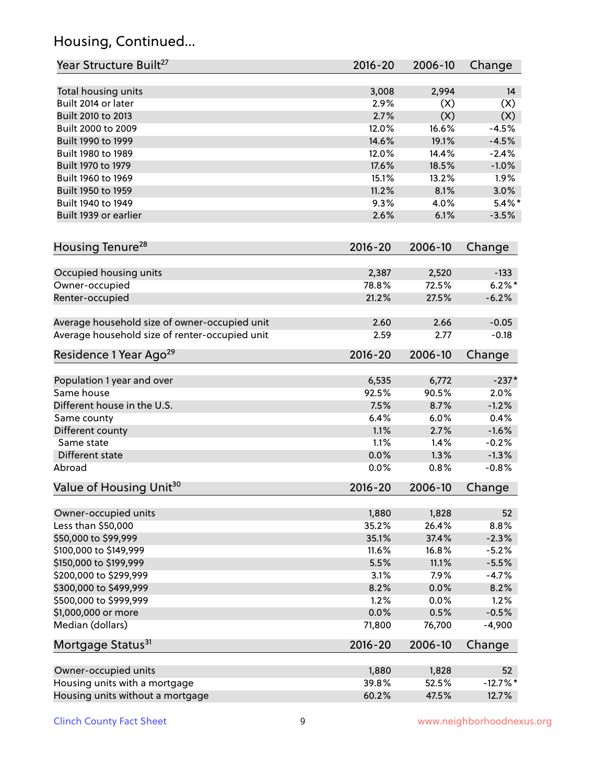# Housing, Continued...

| Year Structure Built <sup>27</sup>             | 2016-20     | 2006-10 | Change             |
|------------------------------------------------|-------------|---------|--------------------|
| Total housing units                            | 3,008       | 2,994   | 14                 |
| Built 2014 or later                            | 2.9%        | (X)     | (X)                |
| Built 2010 to 2013                             | 2.7%        | (X)     | (X)                |
| Built 2000 to 2009                             | 12.0%       | 16.6%   | $-4.5%$            |
| Built 1990 to 1999                             | 14.6%       | 19.1%   | $-4.5%$            |
| Built 1980 to 1989                             | 12.0%       | 14.4%   | $-2.4%$            |
| Built 1970 to 1979                             | 17.6%       | 18.5%   | $-1.0%$            |
| Built 1960 to 1969                             | 15.1%       | 13.2%   | 1.9%               |
| Built 1950 to 1959                             | 11.2%       | 8.1%    | 3.0%               |
| Built 1940 to 1949                             | 9.3%        | 4.0%    | $5.4\%$ *          |
| Built 1939 or earlier                          | 2.6%        | 6.1%    | $-3.5%$            |
|                                                |             |         |                    |
| Housing Tenure <sup>28</sup>                   | $2016 - 20$ | 2006-10 | Change             |
| Occupied housing units                         | 2,387       | 2,520   |                    |
| Owner-occupied                                 | 78.8%       | 72.5%   | $-133$<br>$6.2%$ * |
| Renter-occupied                                | 21.2%       | 27.5%   | $-6.2%$            |
|                                                |             |         |                    |
| Average household size of owner-occupied unit  | 2.60        | 2.66    | $-0.05$            |
| Average household size of renter-occupied unit | 2.59        | 2.77    | $-0.18$            |
| Residence 1 Year Ago <sup>29</sup>             | 2016-20     | 2006-10 | Change             |
| Population 1 year and over                     | 6,535       | 6,772   | $-237*$            |
| Same house                                     | 92.5%       | 90.5%   | 2.0%               |
| Different house in the U.S.                    | 7.5%        | 8.7%    | $-1.2%$            |
| Same county                                    | 6.4%        | 6.0%    | 0.4%               |
| Different county                               | 1.1%        | 2.7%    | $-1.6%$            |
| Same state                                     | 1.1%        | 1.4%    | $-0.2%$            |
| Different state                                | 0.0%        | 1.3%    | $-1.3%$            |
| Abroad                                         | 0.0%        | 0.8%    | $-0.8%$            |
|                                                |             |         |                    |
| Value of Housing Unit <sup>30</sup>            | $2016 - 20$ | 2006-10 | Change             |
| Owner-occupied units                           | 1,880       | 1,828   | 52                 |
| Less than \$50,000                             | 35.2%       | 26.4%   | 8.8%               |
| \$50,000 to \$99,999                           | 35.1%       | 37.4%   | $-2.3%$            |
| \$100,000 to \$149,999                         | 11.6%       | 16.8%   | $-5.2%$            |
| \$150,000 to \$199,999                         | 5.5%        | 11.1%   | $-5.5%$            |
| \$200,000 to \$299,999                         | 3.1%        | 7.9%    | $-4.7%$            |
| \$300,000 to \$499,999                         | 8.2%        | 0.0%    | 8.2%               |
| \$500,000 to \$999,999                         | 1.2%        | 0.0%    | 1.2%               |
| \$1,000,000 or more                            | 0.0%        | 0.5%    | $-0.5%$            |
| Median (dollars)                               | 71,800      | 76,700  | $-4,900$           |
| Mortgage Status <sup>31</sup>                  | 2016-20     | 2006-10 | Change             |
| Owner-occupied units                           | 1,880       | 1,828   | 52                 |
| Housing units with a mortgage                  | 39.8%       | 52.5%   | $-12.7%$ *         |
| Housing units without a mortgage               | 60.2%       | 47.5%   | 12.7%              |
|                                                |             |         |                    |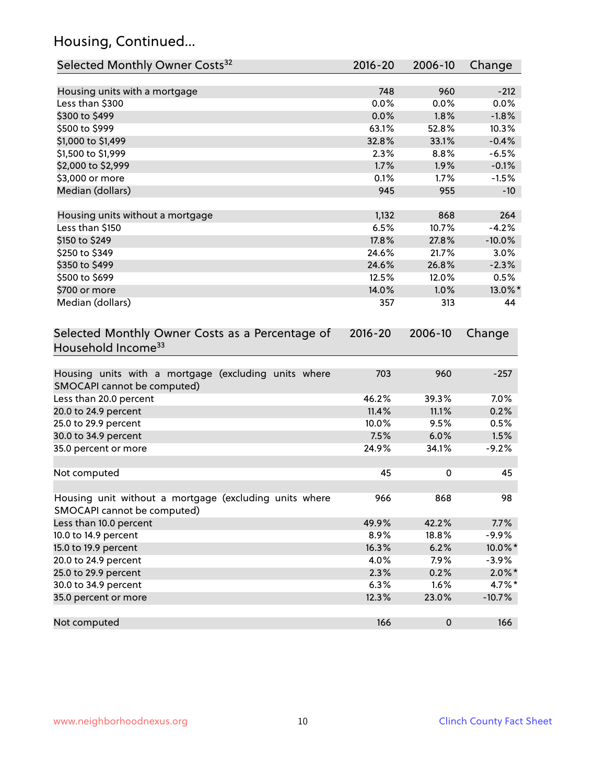# Housing, Continued...

| Selected Monthly Owner Costs <sup>32</sup>                                            | 2016-20 | 2006-10 | Change    |
|---------------------------------------------------------------------------------------|---------|---------|-----------|
| Housing units with a mortgage                                                         | 748     | 960     | $-212$    |
| Less than \$300                                                                       | 0.0%    | 0.0%    | 0.0%      |
| \$300 to \$499                                                                        | 0.0%    | 1.8%    | $-1.8%$   |
| \$500 to \$999                                                                        | 63.1%   | 52.8%   | 10.3%     |
| \$1,000 to \$1,499                                                                    | 32.8%   | 33.1%   | $-0.4%$   |
| \$1,500 to \$1,999                                                                    | 2.3%    | 8.8%    | $-6.5%$   |
| \$2,000 to \$2,999                                                                    | 1.7%    | 1.9%    | $-0.1%$   |
| \$3,000 or more                                                                       | 0.1%    | 1.7%    | $-1.5%$   |
| Median (dollars)                                                                      | 945     | 955     | $-10$     |
|                                                                                       |         |         |           |
| Housing units without a mortgage                                                      | 1,132   | 868     | 264       |
| Less than \$150                                                                       | 6.5%    | 10.7%   | $-4.2%$   |
| \$150 to \$249                                                                        | 17.8%   | 27.8%   | $-10.0%$  |
| \$250 to \$349                                                                        | 24.6%   | 21.7%   | 3.0%      |
| \$350 to \$499                                                                        | 24.6%   | 26.8%   | $-2.3%$   |
| \$500 to \$699                                                                        | 12.5%   | 12.0%   | 0.5%      |
| \$700 or more                                                                         | 14.0%   | 1.0%    | 13.0%*    |
| Median (dollars)                                                                      | 357     | 313     | 44        |
| Household Income <sup>33</sup>                                                        |         |         |           |
| Housing units with a mortgage (excluding units where<br>SMOCAPI cannot be computed)   | 703     | 960     | $-257$    |
| Less than 20.0 percent                                                                | 46.2%   | 39.3%   | 7.0%      |
| 20.0 to 24.9 percent                                                                  | 11.4%   | 11.1%   | 0.2%      |
| 25.0 to 29.9 percent                                                                  | 10.0%   | 9.5%    | 0.5%      |
| 30.0 to 34.9 percent                                                                  | 7.5%    | 6.0%    | 1.5%      |
| 35.0 percent or more                                                                  | 24.9%   | 34.1%   | $-9.2%$   |
| Not computed                                                                          | 45      | 0       | 45        |
| Housing unit without a mortgage (excluding units where<br>SMOCAPI cannot be computed) | 966     | 868     | 98        |
| Less than 10.0 percent                                                                | 49.9%   | 42.2%   | 7.7%      |
| 10.0 to 14.9 percent                                                                  | 8.9%    | 18.8%   | $-9.9%$   |
| 15.0 to 19.9 percent                                                                  | 16.3%   | 6.2%    | 10.0%*    |
| 20.0 to 24.9 percent                                                                  | 4.0%    | 7.9%    | $-3.9%$   |
| 25.0 to 29.9 percent                                                                  | 2.3%    | 0.2%    | $2.0\%$ * |
| 30.0 to 34.9 percent                                                                  | 6.3%    | 1.6%    | 4.7%*     |
| 35.0 percent or more                                                                  | 12.3%   | 23.0%   | $-10.7%$  |
| Not computed                                                                          | 166     | 0       | 166       |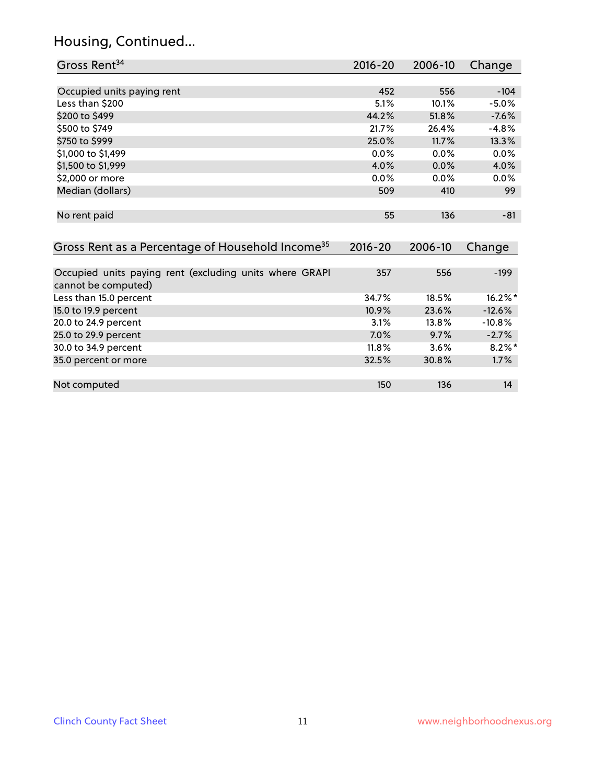### Housing, Continued...

| Gross Rent <sup>34</sup>                                                       | $2016 - 20$ | $2006 - 10$ | Change    |
|--------------------------------------------------------------------------------|-------------|-------------|-----------|
|                                                                                |             |             |           |
| Occupied units paying rent                                                     | 452         | 556         | $-104$    |
| Less than \$200                                                                | 5.1%        | 10.1%       | $-5.0%$   |
| \$200 to \$499                                                                 | 44.2%       | 51.8%       | $-7.6%$   |
| \$500 to \$749                                                                 | 21.7%       | 26.4%       | $-4.8\%$  |
| \$750 to \$999                                                                 | 25.0%       | 11.7%       | 13.3%     |
| \$1,000 to \$1,499                                                             | $0.0\%$     | 0.0%        | $0.0\%$   |
| \$1,500 to \$1,999                                                             | 4.0%        | 0.0%        | 4.0%      |
| \$2,000 or more                                                                | $0.0\%$     | $0.0\%$     | $0.0\%$   |
| Median (dollars)                                                               | 509         | 410         | 99        |
|                                                                                |             |             |           |
| No rent paid                                                                   | 55          | 136         | $-81$     |
|                                                                                |             |             |           |
| Gross Rent as a Percentage of Household Income <sup>35</sup>                   | $2016 - 20$ | 2006-10     | Change    |
|                                                                                |             |             |           |
| Occupied units paying rent (excluding units where GRAPI<br>cannot be computed) | 357         | 556         | $-199$    |
| Less than 15.0 percent                                                         | 34.7%       | 18.5%       | 16.2%*    |
| 15.0 to 19.9 percent                                                           | 10.9%       | 23.6%       | $-12.6%$  |
| 20.0 to 24.9 percent                                                           | 3.1%        | 13.8%       | $-10.8%$  |
| 25.0 to 29.9 percent                                                           | 7.0%        | 9.7%        | $-2.7%$   |
| 30.0 to 34.9 percent                                                           | 11.8%       | 3.6%        | $8.2\%$ * |

| 30.0 to 34.9 percent | $11.8\%$ | $3.6\%$ | $8.2\%$ * |
|----------------------|----------|---------|-----------|
| 35.0 percent or more | 32.5%    | 30.8%   | $1.7\%$   |
|                      |          |         |           |
| Not computed         | 150      | 136     | 14        |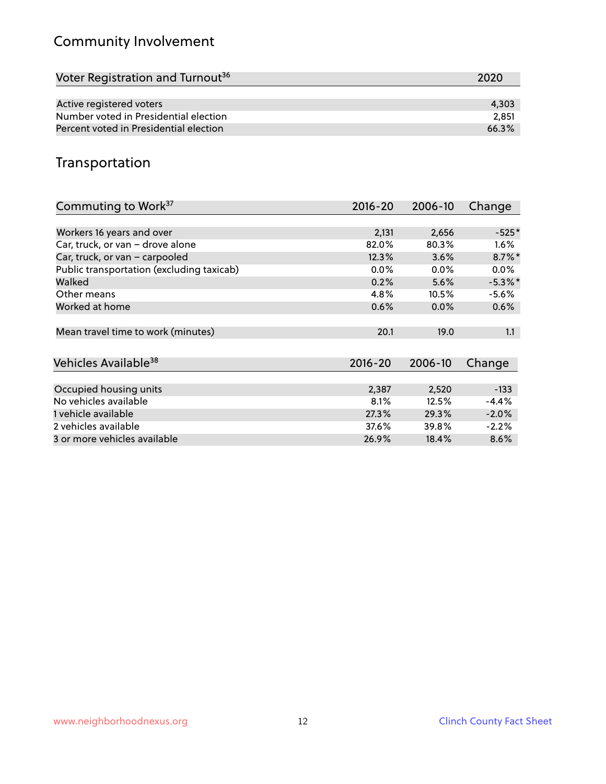# Community Involvement

| Voter Registration and Turnout <sup>36</sup> | 2020  |
|----------------------------------------------|-------|
|                                              |       |
| Active registered voters                     | 4.303 |
| Number voted in Presidential election        | 2.851 |
| Percent voted in Presidential election       | 66.3% |

## Transportation

| Commuting to Work <sup>37</sup>           | 2016-20     | 2006-10 | Change     |
|-------------------------------------------|-------------|---------|------------|
|                                           |             |         |            |
| Workers 16 years and over                 | 2,131       | 2,656   | $-525*$    |
| Car, truck, or van - drove alone          | 82.0%       | 80.3%   | 1.6%       |
| Car, truck, or van - carpooled            | 12.3%       | 3.6%    | $8.7\%$ *  |
| Public transportation (excluding taxicab) | $0.0\%$     | 0.0%    | $0.0\%$    |
| Walked                                    | 0.2%        | 5.6%    | $-5.3\%$ * |
| Other means                               | 4.8%        | 10.5%   | $-5.6%$    |
| Worked at home                            | 0.6%        | $0.0\%$ | $0.6\%$    |
|                                           |             |         |            |
| Mean travel time to work (minutes)        | 20.1        | 19.0    | 1.1        |
|                                           |             |         |            |
| Vehicles Available <sup>38</sup>          | $2016 - 20$ | 2006-10 | Change     |
|                                           |             |         |            |
| Occupied housing units                    | 2,387       | 2,520   | $-133$     |
| No vehicles available                     | 8.1%        | 12.5%   | $-4.4%$    |
| 1 vehicle available                       | 27.3%       | 29.3%   | $-2.0%$    |
| 2 vehicles available                      | 37.6%       | 39.8%   | $-2.2%$    |
| 3 or more vehicles available              | 26.9%       | 18.4%   | 8.6%       |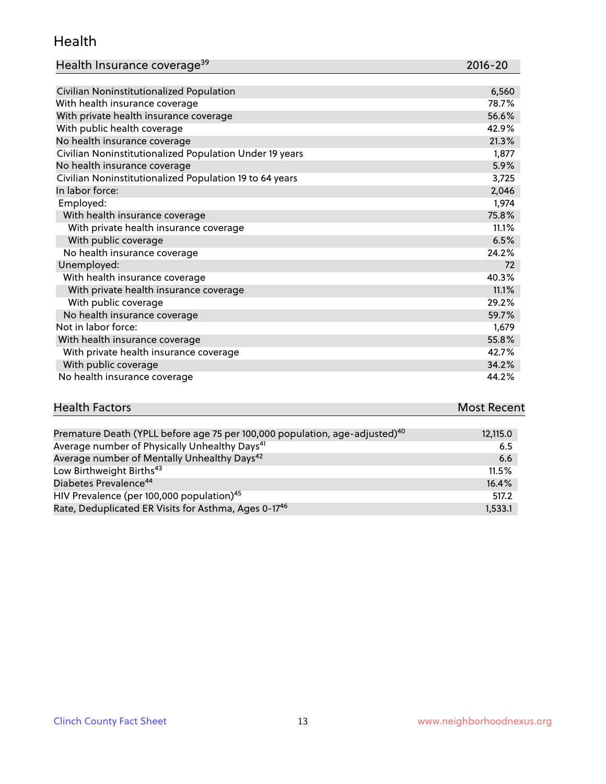#### Health

| Health Insurance coverage <sup>39</sup> | 2016-20 |
|-----------------------------------------|---------|
|-----------------------------------------|---------|

| Civilian Noninstitutionalized Population                | 6,560 |
|---------------------------------------------------------|-------|
| With health insurance coverage                          | 78.7% |
| With private health insurance coverage                  | 56.6% |
| With public health coverage                             | 42.9% |
| No health insurance coverage                            | 21.3% |
| Civilian Noninstitutionalized Population Under 19 years | 1,877 |
| No health insurance coverage                            | 5.9%  |
| Civilian Noninstitutionalized Population 19 to 64 years | 3,725 |
| In labor force:                                         | 2,046 |
| Employed:                                               | 1,974 |
| With health insurance coverage                          | 75.8% |
| With private health insurance coverage                  | 11.1% |
| With public coverage                                    | 6.5%  |
| No health insurance coverage                            | 24.2% |
| Unemployed:                                             | 72    |
| With health insurance coverage                          | 40.3% |
| With private health insurance coverage                  | 11.1% |
| With public coverage                                    | 29.2% |
| No health insurance coverage                            | 59.7% |
| Not in labor force:                                     | 1,679 |
| With health insurance coverage                          | 55.8% |
| With private health insurance coverage                  | 42.7% |
| With public coverage                                    | 34.2% |
| No health insurance coverage                            | 44.2% |

| <b>Health Factors</b>                                                                   | <b>Most Recent</b> |
|-----------------------------------------------------------------------------------------|--------------------|
|                                                                                         |                    |
| Premature Death (YPLL before age 75 per 100,000 population, age-adjusted) <sup>40</sup> | 12,115.0           |
| Average number of Physically Unhealthy Days <sup>41</sup>                               | 6.5                |
| Average number of Mentally Unhealthy Days <sup>42</sup>                                 | 6.6                |
| $L_{out}$ Dirthwoight Dirth $43$                                                        | 11 $E0$            |

| LOW BIRINGUIL BIRING                                             | $11.5\%$ |
|------------------------------------------------------------------|----------|
| Diabetes Prevalence <sup>44</sup>                                | $16.4\%$ |
| HIV Prevalence (per 100,000 population) <sup>45</sup>            | 517.2    |
| Rate, Deduplicated ER Visits for Asthma, Ages 0-17 <sup>46</sup> | 1.533.1  |